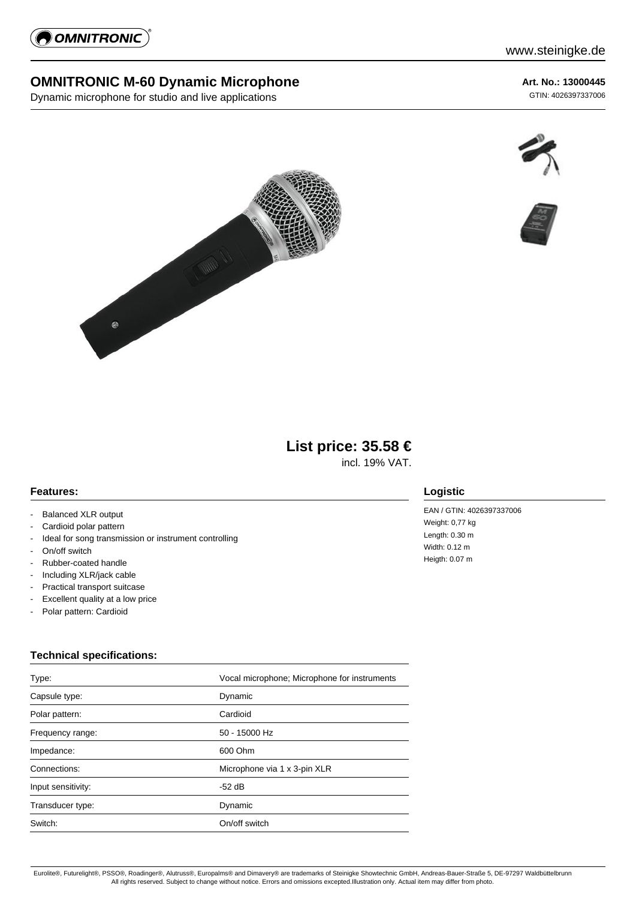

## **OMNITRONIC M-60 Dynamic Microphone**

Dynamic microphone for studio and live applications

**Art. No.: 13000445**

GTIN: 4026397337006







# **List price: 35.58 €**

incl. 19% VAT.

#### **Features:**

- Balanced XLR output
- Cardioid polar pattern
- Ideal for song transmission or instrument controlling
- On/off switch
- Rubber-coated handle
- Including XLR/jack cable
- Practical transport suitcase
- Excellent quality at a low price
- Polar pattern: Cardioid

### **Technical specifications:**

| Type:              | Vocal microphone; Microphone for instruments |  |
|--------------------|----------------------------------------------|--|
| Capsule type:      | Dynamic                                      |  |
| Polar pattern:     | Cardioid                                     |  |
| Frequency range:   | 50 - 15000 Hz                                |  |
| Impedance:         | 600 Ohm                                      |  |
| Connections:       | Microphone via 1 x 3-pin XLR                 |  |
| Input sensitivity: | -52 dB                                       |  |
| Transducer type:   | Dynamic                                      |  |
| Switch:            | On/off switch                                |  |

#### **Logistic**

EAN / GTIN: 4026397337006 Weight: 0,77 kg Length: 0.30 m Width: 0.12 m Heigth: 0.07 m

Eurolite®, Futurelight®, PSSO®, Roadinger®, Alutruss®, Europalms® and Dimavery® are trademarks of Steinigke Showtechnic GmbH, Andreas-Bauer-Straße 5, DE-97297 Waldbüttelbrunn All rights reserved. Subject to change without notice. Errors and omissions excepted.Illustration only. Actual item may differ from photo.